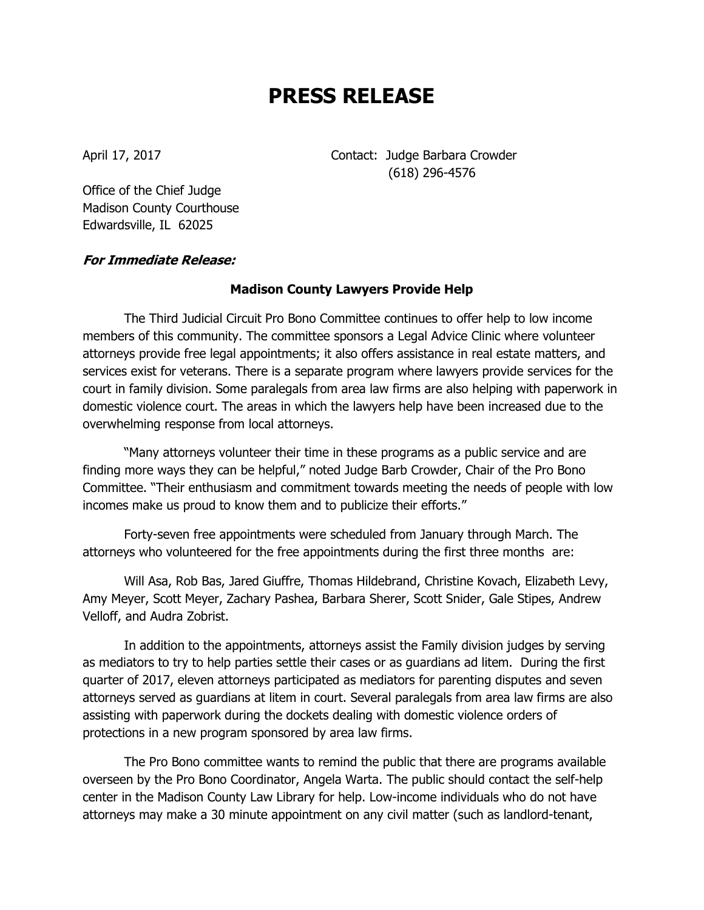## **PRESS RELEASE**

April 17, 2017 **Contact:** Judge Barbara Crowder (618) 296-4576

Office of the Chief Judge Madison County Courthouse Edwardsville, IL 62025

## **For Immediate Release:**

## **Madison County Lawyers Provide Help**

The Third Judicial Circuit Pro Bono Committee continues to offer help to low income members of this community. The committee sponsors a Legal Advice Clinic where volunteer attorneys provide free legal appointments; it also offers assistance in real estate matters, and services exist for veterans. There is a separate program where lawyers provide services for the court in family division. Some paralegals from area law firms are also helping with paperwork in domestic violence court. The areas in which the lawyers help have been increased due to the overwhelming response from local attorneys.

"Many attorneys volunteer their time in these programs as a public service and are finding more ways they can be helpful," noted Judge Barb Crowder, Chair of the Pro Bono Committee. "Their enthusiasm and commitment towards meeting the needs of people with low incomes make us proud to know them and to publicize their efforts."

Forty-seven free appointments were scheduled from January through March. The attorneys who volunteered for the free appointments during the first three months are:

Will Asa, Rob Bas, Jared Giuffre, Thomas Hildebrand, Christine Kovach, Elizabeth Levy, Amy Meyer, Scott Meyer, Zachary Pashea, Barbara Sherer, Scott Snider, Gale Stipes, Andrew Velloff, and Audra Zobrist.

In addition to the appointments, attorneys assist the Family division judges by serving as mediators to try to help parties settle their cases or as guardians ad litem. During the first quarter of 2017, eleven attorneys participated as mediators for parenting disputes and seven attorneys served as guardians at litem in court. Several paralegals from area law firms are also assisting with paperwork during the dockets dealing with domestic violence orders of protections in a new program sponsored by area law firms.

The Pro Bono committee wants to remind the public that there are programs available overseen by the Pro Bono Coordinator, Angela Warta. The public should contact the self-help center in the Madison County Law Library for help. Low-income individuals who do not have attorneys may make a 30 minute appointment on any civil matter (such as landlord-tenant,